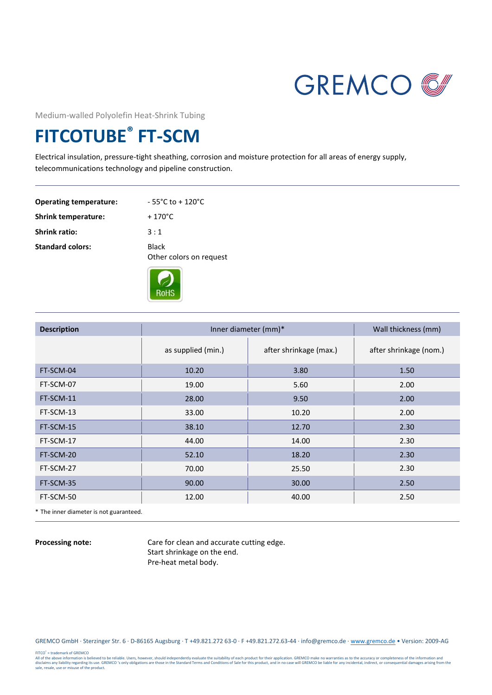

Medium-walled Polyolefin Heat-Shrink Tubing

## **FITCOTUBE® FT-SCM**

Electrical insulation, pressure-tight sheathing, corrosion and moisture protection for all areas of energy supply, telecommunications technology and pipeline construction.

| <b>Operating temperature:</b> | $-55^{\circ}$ C to + 120 $^{\circ}$ C   |
|-------------------------------|-----------------------------------------|
| <b>Shrink temperature:</b>    | $+170^{\circ}$ C                        |
| <b>Shrink ratio:</b>          | 3:1                                     |
| <b>Standard colors:</b>       | <b>Black</b><br>Other colors on request |
|                               |                                         |



| <b>Description</b> | Inner diameter (mm)* |                        | Wall thickness (mm)    |  |
|--------------------|----------------------|------------------------|------------------------|--|
|                    | as supplied (min.)   | after shrinkage (max.) | after shrinkage (nom.) |  |
| FT-SCM-04          | 10.20                | 3.80                   | 1.50                   |  |
| FT-SCM-07          | 19.00                | 5.60                   | 2.00                   |  |
| FT-SCM-11          | 28.00                | 9.50                   | 2.00                   |  |
| FT-SCM-13          | 33.00                | 10.20                  | 2.00                   |  |
| FT-SCM-15          | 38.10                | 12.70                  | 2.30                   |  |
| FT-SCM-17          | 44.00                | 14.00                  | 2.30                   |  |
| FT-SCM-20          | 52.10                | 18.20                  | 2.30                   |  |
| FT-SCM-27          | 70.00                | 25.50                  | 2.30                   |  |
| FT-SCM-35          | 90.00                | 30.00                  | 2.50                   |  |
| FT-SCM-50          | 12.00                | 40.00                  | 2.50                   |  |

\* The inner diameter is not guaranteed.

**Processing note:** Care for clean and accurate cutting edge. Start shrinkage on the end. Pre-heat metal body.

GREMCO GmbH · Sterzinger Str. 6 · D-86165 Augsburg · T +49.821.272 63-0 · F +49.821.272.63-44 · info@gremco.de [· www.gremco.de](http://www.gremco.de/) • Version: 2009-AG

FITCO<sup>\*</sup> = trademark of GREMCO<br>all of the above information is believed to be reliable. Users, however, should independently evaluate the suitability of each product for their application. GREMCO make no warranties as to t